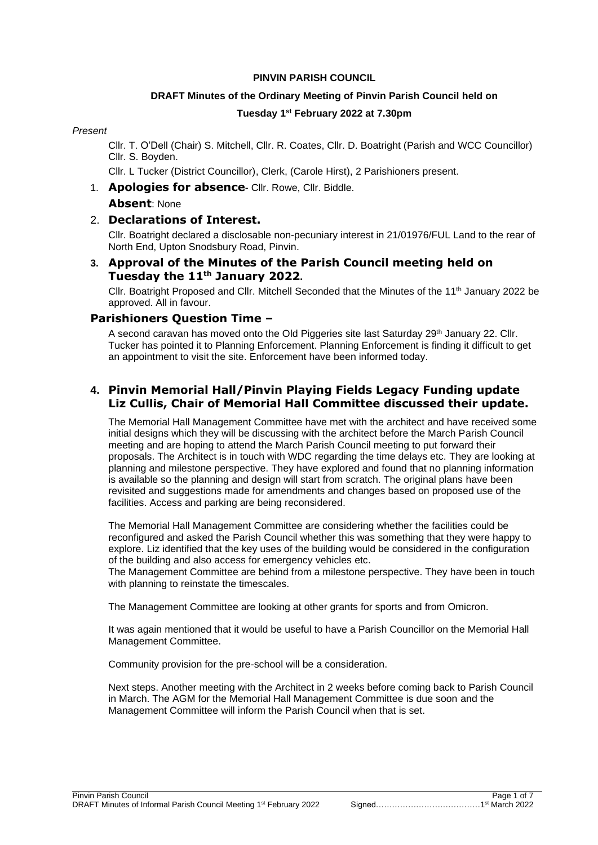### **PINVIN PARISH COUNCIL**

# **DRAFT Minutes of the Ordinary Meeting of Pinvin Parish Council held on Tuesday 1 st February 2022 at 7.30pm**

### *Present*

Cllr. T. O'Dell (Chair) S. Mitchell, Cllr. R. Coates, Cllr. D. Boatright (Parish and WCC Councillor) Cllr. S. Boyden.

Cllr. L Tucker (District Councillor), Clerk, (Carole Hirst), 2 Parishioners present.

1. **Apologies for absence**- Cllr. Rowe, Cllr. Biddle.

### **Absent**: None

# 2. **Declarations of Interest.**

Cllr. Boatright declared a disclosable non-pecuniary interest in 21/01976/FUL Land to the rear of North End, Upton Snodsbury Road, Pinvin.

# **3. Approval of the Minutes of the Parish Council meeting held on Tuesday the 11th January 2022.**

Cllr. Boatright Proposed and Cllr. Mitchell Seconded that the Minutes of the 11th January 2022 be approved. All in favour.

### **Parishioners Question Time –**

A second caravan has moved onto the Old Piggeries site last Saturday 29th January 22. Cllr. Tucker has pointed it to Planning Enforcement. Planning Enforcement is finding it difficult to get an appointment to visit the site. Enforcement have been informed today.

# **4. Pinvin Memorial Hall/Pinvin Playing Fields Legacy Funding update Liz Cullis, Chair of Memorial Hall Committee discussed their update.**

The Memorial Hall Management Committee have met with the architect and have received some initial designs which they will be discussing with the architect before the March Parish Council meeting and are hoping to attend the March Parish Council meeting to put forward their proposals. The Architect is in touch with WDC regarding the time delays etc. They are looking at planning and milestone perspective. They have explored and found that no planning information is available so the planning and design will start from scratch. The original plans have been revisited and suggestions made for amendments and changes based on proposed use of the facilities. Access and parking are being reconsidered.

The Memorial Hall Management Committee are considering whether the facilities could be reconfigured and asked the Parish Council whether this was something that they were happy to explore. Liz identified that the key uses of the building would be considered in the configuration of the building and also access for emergency vehicles etc.

The Management Committee are behind from a milestone perspective. They have been in touch with planning to reinstate the timescales.

The Management Committee are looking at other grants for sports and from Omicron.

It was again mentioned that it would be useful to have a Parish Councillor on the Memorial Hall Management Committee.

Community provision for the pre-school will be a consideration.

Next steps. Another meeting with the Architect in 2 weeks before coming back to Parish Council in March. The AGM for the Memorial Hall Management Committee is due soon and the Management Committee will inform the Parish Council when that is set.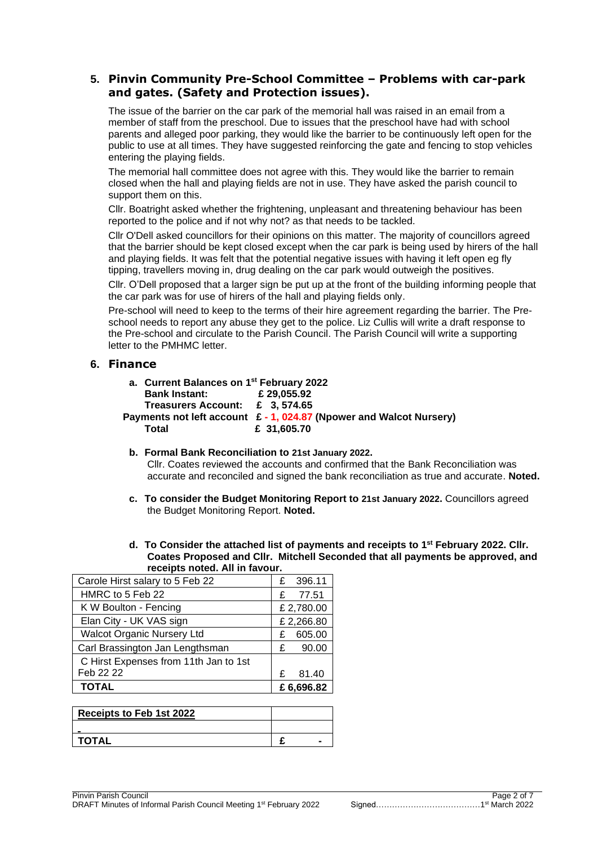# **5. Pinvin Community Pre-School Committee – Problems with car-park and gates. (Safety and Protection issues).**

The issue of the barrier on the car park of the memorial hall was raised in an email from a member of staff from the preschool. Due to issues that the preschool have had with school parents and alleged poor parking, they would like the barrier to be continuously left open for the public to use at all times. They have suggested reinforcing the gate and fencing to stop vehicles entering the playing fields.

The memorial hall committee does not agree with this. They would like the barrier to remain closed when the hall and playing fields are not in use. They have asked the parish council to support them on this.

Cllr. Boatright asked whether the frightening, unpleasant and threatening behaviour has been reported to the police and if not why not? as that needs to be tackled.

Cllr O'Dell asked councillors for their opinions on this matter. The majority of councillors agreed that the barrier should be kept closed except when the car park is being used by hirers of the hall and playing fields. It was felt that the potential negative issues with having it left open eg fly tipping, travellers moving in, drug dealing on the car park would outweigh the positives.

Cllr. O'Dell proposed that a larger sign be put up at the front of the building informing people that the car park was for use of hirers of the hall and playing fields only.

Pre-school will need to keep to the terms of their hire agreement regarding the barrier. The Preschool needs to report any abuse they get to the police. Liz Cullis will write a draft response to the Pre-school and circulate to the Parish Council. The Parish Council will write a supporting letter to the PMHMC letter.

### **6. Finance**

| a. Current Balances on 1 <sup>st</sup> February 2022 |                                                                              |
|------------------------------------------------------|------------------------------------------------------------------------------|
| <b>Bank Instant:</b>                                 | £29.055.92                                                                   |
| Treasurers Account: £ 3.574.65                       |                                                                              |
|                                                      | Payments not left account $\epsilon$ - 1, 024.87 (Npower and Walcot Nursery) |
| Total                                                | £ 31,605.70                                                                  |

- **b. Formal Bank Reconciliation to 21st January 2022.** Cllr. Coates reviewed the accounts and confirmed that the Bank Reconciliation was accurate and reconciled and signed the bank reconciliation as true and accurate. **Noted.**
- **c. To consider the Budget Monitoring Report to 21st January 2022.** Councillors agreed the Budget Monitoring Report. **Noted.**
- **d. To Consider the attached list of payments and receipts to 1 st February 2022. Cllr. Coates Proposed and Cllr. Mitchell Seconded that all payments be approved, and receipts noted. All in favour.**

| 1500                                  |   |           |  |
|---------------------------------------|---|-----------|--|
| Carole Hirst salary to 5 Feb 22       |   | 396.11    |  |
| HMRC to 5 Feb 22                      | £ | 77.51     |  |
| K W Boulton - Fencing                 |   | £2,780.00 |  |
| Elan City - UK VAS sign               |   | £2,266.80 |  |
| <b>Walcot Organic Nursery Ltd</b>     | £ | 605.00    |  |
| Carl Brassington Jan Lengthsman       | £ | 90.00     |  |
| C Hirst Expenses from 11th Jan to 1st |   |           |  |
| Feb 22 22                             | £ | 81.40     |  |
| <b>TOTAL</b>                          |   | £6,696.82 |  |

| Receipts to Feb 1st 2022 |  |  |
|--------------------------|--|--|
|                          |  |  |
| I TOTAL                  |  |  |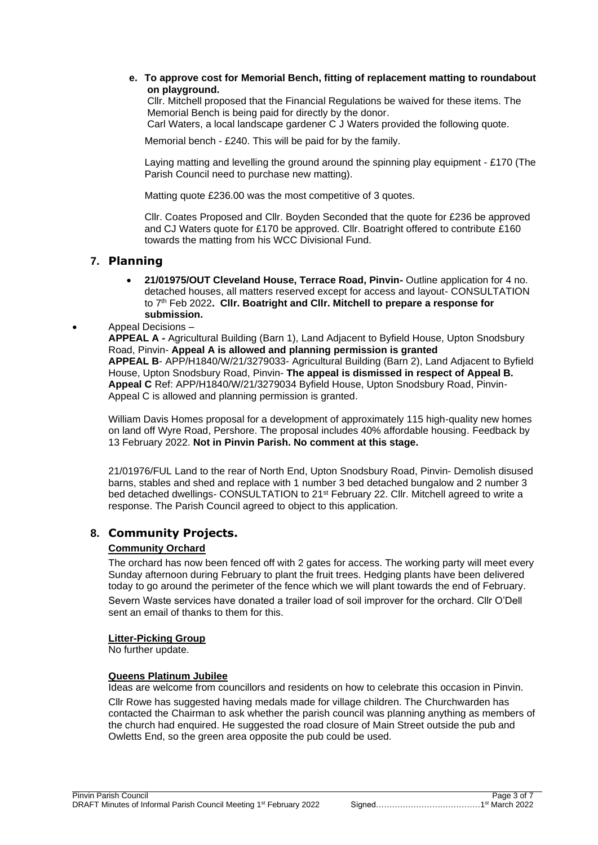#### **e. To approve cost for Memorial Bench, fitting of replacement matting to roundabout on playground.**

Cllr. Mitchell proposed that the Financial Regulations be waived for these items. The Memorial Bench is being paid for directly by the donor. Carl Waters, a local landscape gardener C J Waters provided the following quote.

Memorial bench - £240. This will be paid for by the family.

Laying matting and levelling the ground around the spinning play equipment - £170 (The Parish Council need to purchase new matting).

Matting quote £236.00 was the most competitive of 3 quotes.

Cllr. Coates Proposed and Cllr. Boyden Seconded that the quote for £236 be approved and CJ Waters quote for £170 be approved. Cllr. Boatright offered to contribute £160 towards the matting from his WCC Divisional Fund.

### **7. Planning**

• **21/01975/OUT Cleveland House, Terrace Road, Pinvin-** Outline application for 4 no. detached houses, all matters reserved except for access and layout- CONSULTATION to 7th Feb 2022**. Cllr. Boatright and Cllr. Mitchell to prepare a response for submission.**

#### • Appeal Decisions –

**APPEAL A -** Agricultural Building (Barn 1), Land Adjacent to Byfield House, Upton Snodsbury Road, Pinvin- **Appeal A is allowed and planning permission is granted APPEAL B**- APP/H1840/W/21/3279033- Agricultural Building (Barn 2), Land Adjacent to Byfield House, Upton Snodsbury Road, Pinvin- **The appeal is dismissed in respect of Appeal B. Appeal C** Ref: APP/H1840/W/21/3279034 Byfield House, Upton Snodsbury Road, Pinvin-Appeal C is allowed and planning permission is granted.

William Davis Homes proposal for a development of approximately 115 high-quality new homes on land off Wyre Road, Pershore. The proposal includes 40% affordable housing. Feedback by 13 February 2022. **Not in Pinvin Parish. No comment at this stage.**

21/01976/FUL Land to the rear of North End, Upton Snodsbury Road, Pinvin- Demolish disused barns, stables and shed and replace with 1 number 3 bed detached bungalow and 2 number 3 bed detached dwellings- CONSULTATION to 21<sup>st</sup> February 22. Cllr. Mitchell agreed to write a response. The Parish Council agreed to object to this application.

### **8. Community Projects.**

#### **Community Orchard**

The orchard has now been fenced off with 2 gates for access. The working party will meet every Sunday afternoon during February to plant the fruit trees. Hedging plants have been delivered today to go around the perimeter of the fence which we will plant towards the end of February. Severn Waste services have donated a trailer load of soil improver for the orchard. Cllr O'Dell sent an email of thanks to them for this.

#### **Litter-Picking Group**

No further update.

#### **Queens Platinum Jubilee**

Ideas are welcome from councillors and residents on how to celebrate this occasion in Pinvin.

Cllr Rowe has suggested having medals made for village children. The Churchwarden has contacted the Chairman to ask whether the parish council was planning anything as members of the church had enquired. He suggested the road closure of Main Street outside the pub and Owletts End, so the green area opposite the pub could be used.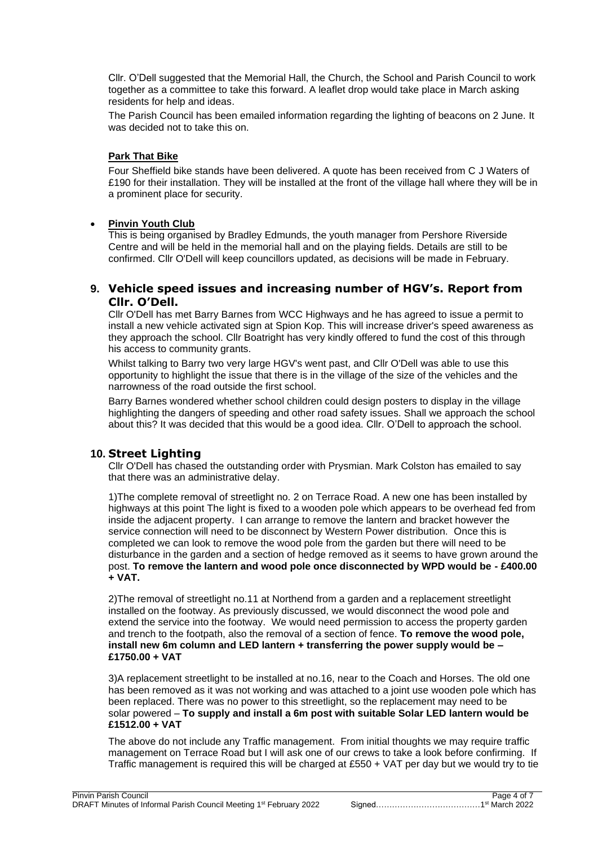Cllr. O'Dell suggested that the Memorial Hall, the Church, the School and Parish Council to work together as a committee to take this forward. A leaflet drop would take place in March asking residents for help and ideas.

The Parish Council has been emailed information regarding the lighting of beacons on 2 June. It was decided not to take this on.

#### **Park That Bike**

Four Sheffield bike stands have been delivered. A quote has been received from C J Waters of £190 for their installation. They will be installed at the front of the village hall where they will be in a prominent place for security.

### • **Pinvin Youth Club**

This is being organised by Bradley Edmunds, the youth manager from Pershore Riverside Centre and will be held in the memorial hall and on the playing fields. Details are still to be confirmed. Cllr O'Dell will keep councillors updated, as decisions will be made in February.

### **9. Vehicle speed issues and increasing number of HGV's. Report from Cllr. O'Dell.**

Cllr O'Dell has met Barry Barnes from WCC Highways and he has agreed to issue a permit to install a new vehicle activated sign at Spion Kop. This will increase driver's speed awareness as they approach the school. Cllr Boatright has very kindly offered to fund the cost of this through his access to community grants.

Whilst talking to Barry two very large HGV's went past, and Cllr O'Dell was able to use this opportunity to highlight the issue that there is in the village of the size of the vehicles and the narrowness of the road outside the first school.

Barry Barnes wondered whether school children could design posters to display in the village highlighting the dangers of speeding and other road safety issues. Shall we approach the school about this? It was decided that this would be a good idea. Cllr. O'Dell to approach the school.

# **10. Street Lighting**

Cllr O'Dell has chased the outstanding order with Prysmian. Mark Colston has emailed to say that there was an administrative delay.

1)The complete removal of streetlight no. 2 on Terrace Road. A new one has been installed by highways at this point The light is fixed to a wooden pole which appears to be overhead fed from inside the adjacent property. I can arrange to remove the lantern and bracket however the service connection will need to be disconnect by Western Power distribution. Once this is completed we can look to remove the wood pole from the garden but there will need to be disturbance in the garden and a section of hedge removed as it seems to have grown around the post. **To remove the lantern and wood pole once disconnected by WPD would be - £400.00 + VAT.**

2)The removal of streetlight no.11 at Northend from a garden and a replacement streetlight installed on the footway. As previously discussed, we would disconnect the wood pole and extend the service into the footway. We would need permission to access the property garden and trench to the footpath, also the removal of a section of fence. **To remove the wood pole, install new 6m column and LED lantern + transferring the power supply would be – £1750.00 + VAT**

3)A replacement streetlight to be installed at no.16, near to the Coach and Horses. The old one has been removed as it was not working and was attached to a joint use wooden pole which has been replaced. There was no power to this streetlight, so the replacement may need to be solar powered – **To supply and install a 6m post with suitable Solar LED lantern would be £1512.00 + VAT**

The above do not include any Traffic management. From initial thoughts we may require traffic management on Terrace Road but I will ask one of our crews to take a look before confirming. If Traffic management is required this will be charged at £550 + VAT per day but we would try to tie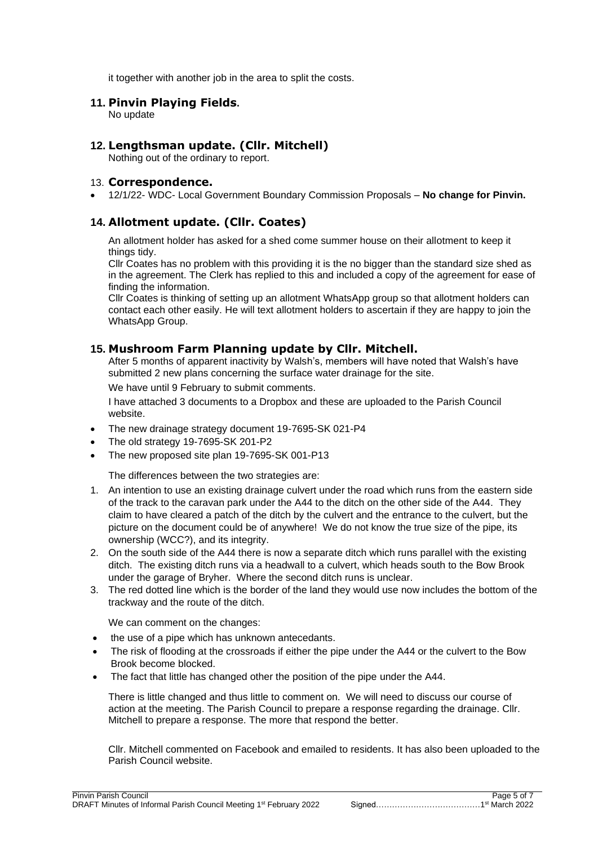it together with another job in the area to split the costs.

### **11. Pinvin Playing Fields.**

No update

# **12. Lengthsman update. (Cllr. Mitchell)**

Nothing out of the ordinary to report.

### 13. **Correspondence.**

• 12/1/22- WDC- Local Government Boundary Commission Proposals – **No change for Pinvin.**

# **14. Allotment update. (Cllr. Coates)**

An allotment holder has asked for a shed come summer house on their allotment to keep it things tidy.

Cllr Coates has no problem with this providing it is the no bigger than the standard size shed as in the agreement. The Clerk has replied to this and included a copy of the agreement for ease of finding the information.

Cllr Coates is thinking of setting up an allotment WhatsApp group so that allotment holders can contact each other easily. He will text allotment holders to ascertain if they are happy to join the WhatsApp Group.

### **15. Mushroom Farm Planning update by Cllr. Mitchell.**

After 5 months of apparent inactivity by Walsh's, members will have noted that Walsh's have submitted 2 new plans concerning the surface water drainage for the site.

We have until 9 February to submit comments.

I have attached 3 documents to a Dropbox and these are uploaded to the Parish Council website.

- The new drainage strategy document 19-7695-SK 021-P4
- The old strategy 19-7695-SK 201-P2
- The new proposed site plan 19-7695-SK 001-P13

The differences between the two strategies are:

- 1. An intention to use an existing drainage culvert under the road which runs from the eastern side of the track to the caravan park under the A44 to the ditch on the other side of the A44. They claim to have cleared a patch of the ditch by the culvert and the entrance to the culvert, but the picture on the document could be of anywhere! We do not know the true size of the pipe, its ownership (WCC?), and its integrity.
- 2. On the south side of the A44 there is now a separate ditch which runs parallel with the existing ditch. The existing ditch runs via a headwall to a culvert, which heads south to the Bow Brook under the garage of Bryher. Where the second ditch runs is unclear.
- 3. The red dotted line which is the border of the land they would use now includes the bottom of the trackway and the route of the ditch.

We can comment on the changes:

- the use of a pipe which has unknown antecedants.
- The risk of flooding at the crossroads if either the pipe under the A44 or the culvert to the Bow Brook become blocked.
- The fact that little has changed other the position of the pipe under the A44.

There is little changed and thus little to comment on. We will need to discuss our course of action at the meeting. The Parish Council to prepare a response regarding the drainage. Cllr. Mitchell to prepare a response. The more that respond the better.

Cllr. Mitchell commented on Facebook and emailed to residents. It has also been uploaded to the Parish Council website.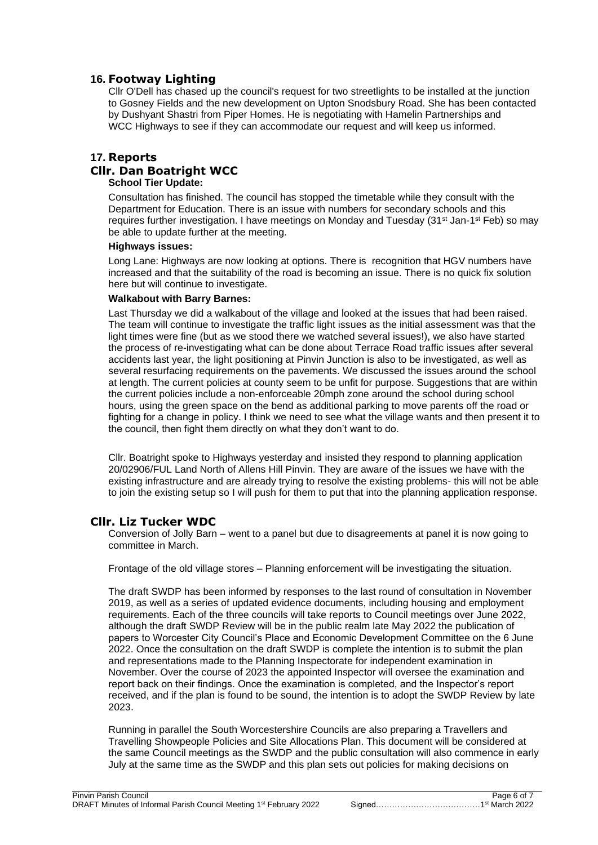# **16. Footway Lighting**

Cllr O'Dell has chased up the council's request for two streetlights to be installed at the junction to Gosney Fields and the new development on Upton Snodsbury Road. She has been contacted by Dushyant Shastri from Piper Homes. He is negotiating with Hamelin Partnerships and WCC Highways to see if they can accommodate our request and will keep us informed.

# **17. Reports Cllr. Dan Boatright WCC**

#### **School Tier Update:**

Consultation has finished. The council has stopped the timetable while they consult with the Department for Education. There is an issue with numbers for secondary schools and this requires further investigation. I have meetings on Monday and Tuesday (31<sup>st</sup> Jan-1<sup>st</sup> Feb) so may be able to update further at the meeting.

#### **Highways issues:**

Long Lane: Highways are now looking at options. There is recognition that HGV numbers have increased and that the suitability of the road is becoming an issue. There is no quick fix solution here but will continue to investigate.

#### **Walkabout with Barry Barnes:**

Last Thursday we did a walkabout of the village and looked at the issues that had been raised. The team will continue to investigate the traffic light issues as the initial assessment was that the light times were fine (but as we stood there we watched several issues!), we also have started the process of re-investigating what can be done about Terrace Road traffic issues after several accidents last year, the light positioning at Pinvin Junction is also to be investigated, as well as several resurfacing requirements on the pavements. We discussed the issues around the school at length. The current policies at county seem to be unfit for purpose. Suggestions that are within the current policies include a non-enforceable 20mph zone around the school during school hours, using the green space on the bend as additional parking to move parents off the road or fighting for a change in policy. I think we need to see what the village wants and then present it to the council, then fight them directly on what they don't want to do.

Cllr. Boatright spoke to Highways yesterday and insisted they respond to planning application 20/02906/FUL Land North of Allens Hill Pinvin. They are aware of the issues we have with the existing infrastructure and are already trying to resolve the existing problems- this will not be able to join the existing setup so I will push for them to put that into the planning application response.

### **Cllr. Liz Tucker WDC**

Conversion of Jolly Barn – went to a panel but due to disagreements at panel it is now going to committee in March.

Frontage of the old village stores – Planning enforcement will be investigating the situation.

The draft SWDP has been informed by responses to the last round of consultation in November 2019, as well as a series of updated evidence documents, including housing and employment requirements. Each of the three councils will take reports to Council meetings over June 2022, although the draft SWDP Review will be in the public realm late May 2022 the publication of papers to Worcester City Council's Place and Economic Development Committee on the 6 June 2022. Once the consultation on the draft SWDP is complete the intention is to submit the plan and representations made to the Planning Inspectorate for independent examination in November. Over the course of 2023 the appointed Inspector will oversee the examination and report back on their findings. Once the examination is completed, and the Inspector's report received, and if the plan is found to be sound, the intention is to adopt the SWDP Review by late 2023.

Running in parallel the South Worcestershire Councils are also preparing a Travellers and Travelling Showpeople Policies and Site Allocations Plan. This document will be considered at the same Council meetings as the SWDP and the public consultation will also commence in early July at the same time as the SWDP and this plan sets out policies for making decisions on